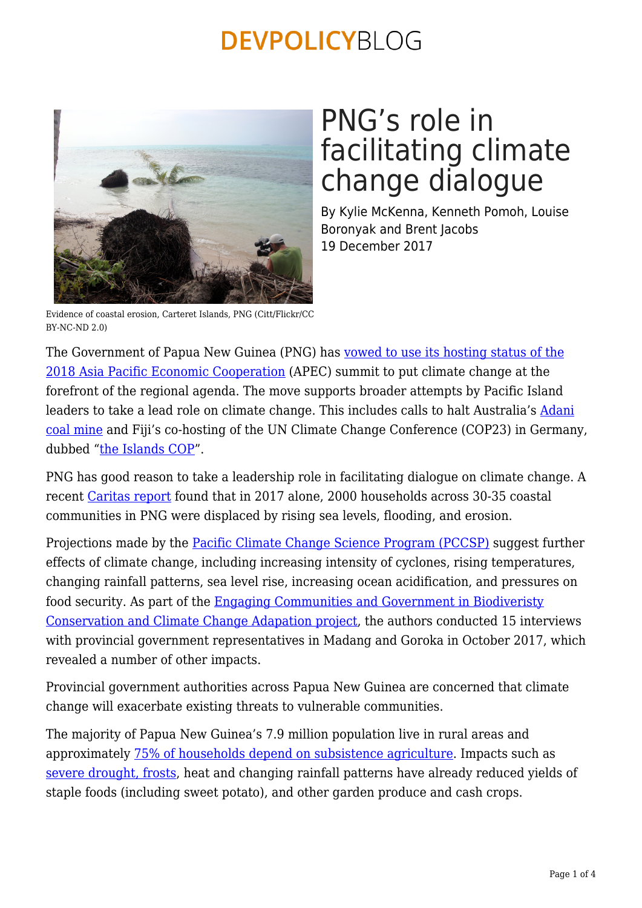

# PNG's role in facilitating climate change dialogue

By Kylie McKenna, Kenneth Pomoh, Louise Boronyak and Brent Jacobs 19 December 2017

Evidence of coastal erosion, Carteret Islands, PNG (Citt/Flickr/CC  $BY-NC-ND 2.0$ 

The Government of Papua New Guinea (PNG) has [vowed to use its hosting status of the](http://news.pngfacts.com/2017/10/lupari-png-government-will-push-climate.html) [2018 Asia Pacific Economic Cooperation](http://news.pngfacts.com/2017/10/lupari-png-government-will-push-climate.html) (APEC) summit to put climate change at the forefront of the regional agenda. The move supports broader attempts by Pacific Island leaders to take a lead role on climate change. This includes calls to halt Australia's [Adani](http://www.sbs.com.au/news/article/2017/11/04/un-climate-meeting-pacific-islands-leaders-set-put-heat-australia) [coal mine](http://www.sbs.com.au/news/article/2017/11/04/un-climate-meeting-pacific-islands-leaders-set-put-heat-australia) and Fiji's co-hosting of the UN Climate Change Conference (COP23) in Germany, dubbed ["the Islands COP](https://devpolicy.org/the-island-cop-changing-the-negotiation-climate-20171109/)".

PNG has good reason to take a leadership role in facilitating dialogue on climate change. A recent [Caritas report](https://www.caritas.org/2017/10/communities-in-oceania-warn-of-rising-sea-levels-and-coastal-erosion-in-new-caritas-report/) found that in 2017 alone, 2000 households across 30-35 coastal communities in PNG were displaced by rising sea levels, flooding, and erosion.

Projections made by the [Pacific Climate Change Science Program \(PCCSP\)](https://www.pacificclimatechangescience.org/wp-content/uploads/2013/06/14_PACCSAP-PNG-11pp_WEB.pdf) suggest further effects of climate change, including increasing intensity of cyclones, rising temperatures, changing rainfall patterns, sea level rise, increasing ocean acidification, and pressures on food security. As part of the [Engaging Communities and Government in Biodiveristy](http://www.pgrd.org/assets/documents/PACAM_Factsheet_Sept_2017.pdf) [Conservation and Climate Change Adapation project](http://www.pgrd.org/assets/documents/PACAM_Factsheet_Sept_2017.pdf), the authors conducted 15 interviews with provincial government representatives in Madang and Goroka in October 2017, which revealed a number of other impacts.

Provincial government authorities across Papua New Guinea are concerned that climate change will exacerbate existing threats to vulnerable communities.

The majority of Papua New Guinea's 7.9 million population live in rural areas and approximately [75% of households depend on subsistence agriculture](http://www.pg.undp.org/content/papua_new_guinea/en/home/countryinfo.html). Impacts such as [severe drought, frosts,](https://devpolicy.org/the-ongoing-impact-of-the-el-nino-drought-and-frosts-in-papua-new-guinea-20160115/) heat and changing rainfall patterns have already reduced yields of staple foods (including sweet potato), and other garden produce and cash crops.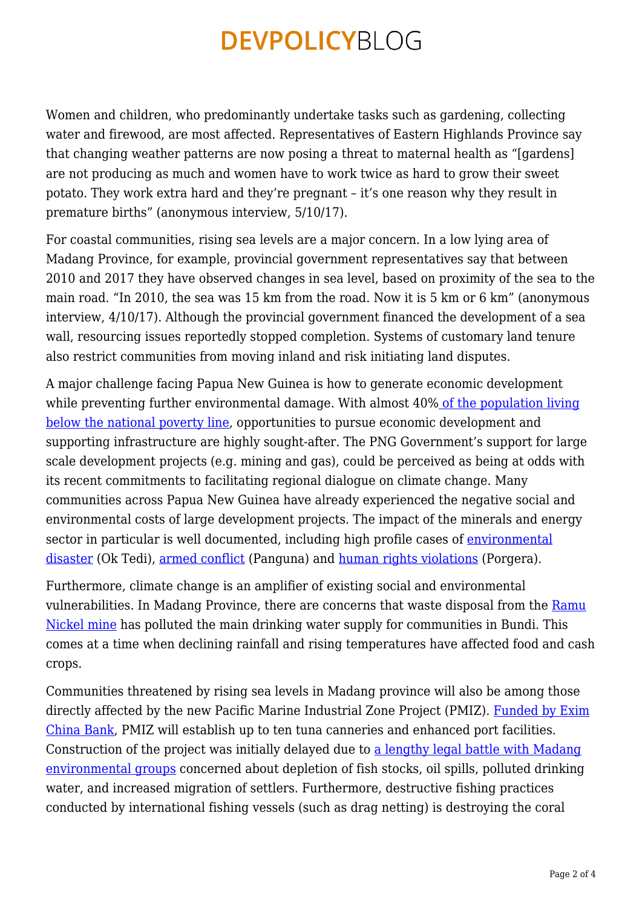Women and children, who predominantly undertake tasks such as gardening, collecting water and firewood, are most affected. Representatives of Eastern Highlands Province say that changing weather patterns are now posing a threat to maternal health as "[gardens] are not producing as much and women have to work twice as hard to grow their sweet potato. They work extra hard and they're pregnant – it's one reason why they result in premature births" (anonymous interview, 5/10/17).

For coastal communities, rising sea levels are a major concern. In a low lying area of Madang Province, for example, provincial government representatives say that between 2010 and 2017 they have observed changes in sea level, based on proximity of the sea to the main road. "In 2010, the sea was 15 km from the road. Now it is 5 km or 6 km" (anonymous interview, 4/10/17). Although the provincial government financed the development of a sea wall, resourcing issues reportedly stopped completion. Systems of customary land tenure also restrict communities from moving inland and risk initiating land disputes.

A major challenge facing Papua New Guinea is how to generate economic development while preventing further environmental damage. With almost 40% [of the population living](https://www.adb.org/countries/papua-new-guinea/poverty) [below the national poverty line,](https://www.adb.org/countries/papua-new-guinea/poverty) opportunities to pursue economic development and supporting infrastructure are highly sought-after. The PNG Government's support for large scale development projects (e.g. mining and gas), could be perceived as being at odds with its recent commitments to facilitating regional dialogue on climate change. Many communities across Papua New Guinea have already experienced the negative social and environmental costs of large development projects. The impact of the minerals and energy sector in particular is well documented, including high profile cases of [environmental](http://www.abc.net.au/news/2013-01-07/an-radio-doco3a-ok-tedi/4455092) [disaster](http://www.abc.net.au/news/2013-01-07/an-radio-doco3a-ok-tedi/4455092) (Ok Tedi), [armed conflict](http://ssgm.bellschool.anu.edu.au/sites/default/files/publications/attachments/2016-07/ib2015.35_mckenna_ordered_140815.pdf) (Panguna) and [human rights violations](https://www.hrw.org/report/2011/02/01/golds-costly-dividend/human-rights-impacts-papua-new-guineas-porgera-gold-mine) (Porgera).

Furthermore, climate change is an amplifier of existing social and environmental vulnerabilities. In Madang Province, there are concerns that waste disposal from the [Ramu](http://www.highlandspacific.com/current-projects/ramu-nickel) [Nickel mine](http://www.highlandspacific.com/current-projects/ramu-nickel) has polluted the main drinking water supply for communities in Bundi. This comes at a time when declining rainfall and rising temperatures have affected food and cash crops.

Communities threatened by rising sea levels in Madang province will also be among those directly affected by the new Pacific Marine Industrial Zone Project (PMIZ). [Funded by Exim](http://postcourier.com.pg/exim-bank-approves-k350m-pmiz-loan/) [China Bank,](http://postcourier.com.pg/exim-bank-approves-k350m-pmiz-loan/) PMIZ will establish up to ten tuna canneries and enhanced port facilities. Construction of the project was initially delayed due to [a lengthy legal battle with Madang](https://pngdailynews.com/2017/09/18/exim-bank-approves-k350m-pmiz-loan/) [environmental groups](https://pngdailynews.com/2017/09/18/exim-bank-approves-k350m-pmiz-loan/) concerned about depletion of fish stocks, oil spills, polluted drinking water, and increased migration of settlers. Furthermore, destructive fishing practices conducted by international fishing vessels (such as drag netting) is destroying the coral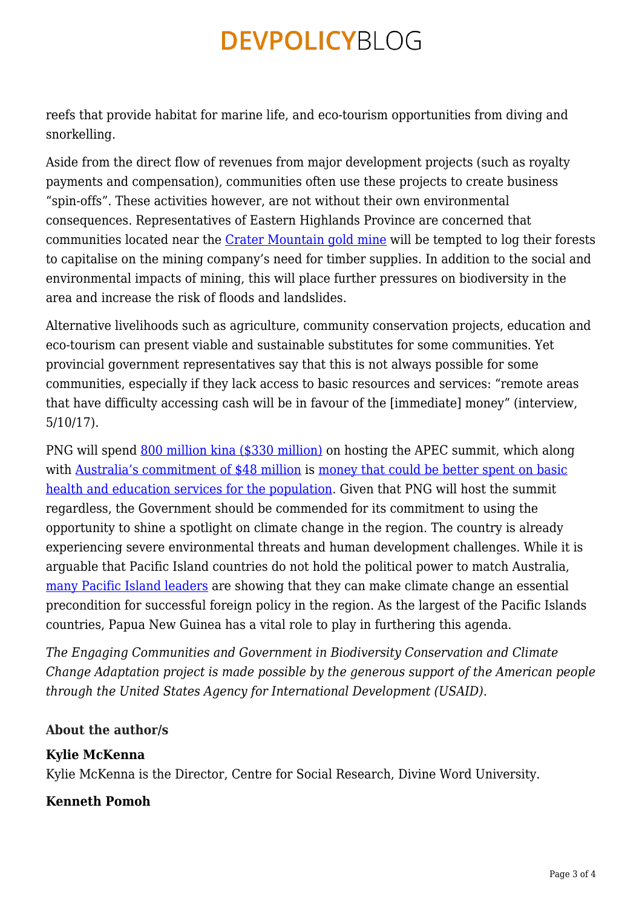reefs that provide habitat for marine life, and eco-tourism opportunities from diving and snorkelling.

Aside from the direct flow of revenues from major development projects (such as royalty payments and compensation), communities often use these projects to create business "spin-offs". These activities however, are not without their own environmental consequences. Representatives of Eastern Highlands Province are concerned that communities located near the [Crater Mountain gold mine](http://www.cratergold.com.au/irm/content/projects-overview.aspx?RID=210&RedirectCount=1) will be tempted to log their forests to capitalise on the mining company's need for timber supplies. In addition to the social and environmental impacts of mining, this will place further pressures on biodiversity in the area and increase the risk of floods and landslides.

Alternative livelihoods such as agriculture, community conservation projects, education and eco-tourism can present viable and sustainable substitutes for some communities. Yet provincial government representatives say that this is not always possible for some communities, especially if they lack access to basic resources and services: "remote areas that have difficulty accessing cash will be in favour of the [immediate] money" (interview, 5/10/17).

PNG will spend [800 million kina \(\\$330 million\)](http://www.abc.net.au/news/2017-02-01/australia-bankrolls-png-summit-costs/8228208) on hosting the APEC summit, which along with [Australia's commitment of \\$48 million](http://www.abc.net.au/news/2017-02-01/australia-bankrolls-png-summit-costs/8228208) is [money that could be better spent on basic](https://devpolicy.org/expenditure-in-pngs-2016-budget-a-detailed-analysis-20151202/) [health and education services for the population](https://devpolicy.org/expenditure-in-pngs-2016-budget-a-detailed-analysis-20151202/). Given that PNG will host the summit regardless, the Government should be commended for its commitment to using the opportunity to shine a spotlight on climate change in the region. The country is already experiencing severe environmental threats and human development challenges. While it is arguable that Pacific Island countries do not hold the political power to match Australia, [many Pacific Island leaders](http://www.canberratimes.com.au/national/public-service/coal-mine-halt-will-bolster-australias-influence-in-crucial-pacific-region-20170720-gxexbw.html) are showing that they can make climate change an essential precondition for successful foreign policy in the region. As the largest of the Pacific Islands countries, Papua New Guinea has a vital role to play in furthering this agenda.

*The Engaging Communities and Government in Biodiversity Conservation and Climate Change Adaptation project is made possible by the generous support of the American people through the United States Agency for International Development (USAID).*

### **About the author/s**

#### **Kylie McKenna**

Kylie McKenna is the Director, Centre for Social Research, Divine Word University.

### **Kenneth Pomoh**